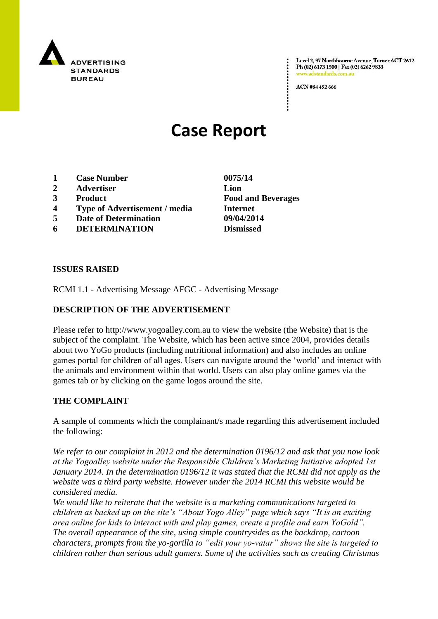

Level 2, 97 Northbourne Avenue, Turner ACT 2612 Ph (02) 6173 1500 | Fax (02) 6262 9833 zadstandards.c

ACN 084 452 666

# **Case Report**

- **1 Case Number 0075/14**
- **2 Advertiser Lion**
- **3 Product Food and Beverages**
- **4 Type of Advertisement / media Internet**
- **5 Date of Determination 09/04/2014**
- **6 DETERMINATION Dismissed**

**ISSUES RAISED**

RCMI 1.1 - Advertising Message AFGC - Advertising Message

## **DESCRIPTION OF THE ADVERTISEMENT**

Please refer to http://www.yogoalley.com.au to view the website (the Website) that is the subject of the complaint. The Website, which has been active since 2004, provides details about two YoGo products (including nutritional information) and also includes an online games portal for children of all ages. Users can navigate around the "world" and interact with the animals and environment within that world. Users can also play online games via the games tab or by clicking on the game logos around the site.

#### **THE COMPLAINT**

A sample of comments which the complainant/s made regarding this advertisement included the following:

*We refer to our complaint in 2012 and the determination 0196/12 and ask that you now look at the Yogoalley website under the Responsible Children"s Marketing Initiative adopted 1st January 2014. In the determination 0196/12 it was stated that the RCMI did not apply as the website was a third party website. However under the 2014 RCMI this website would be considered media.*

*We would like to reiterate that the website is a marketing communications targeted to children as backed up on the site"s "About Yogo Alley" page which says "It is an exciting area online for kids to interact with and play games, create a profile and earn YoGold". The overall appearance of the site, using simple countrysides as the backdrop, cartoon characters, prompts from the yo-gorilla to "edit your yo-vatar" shows the site is targeted to children rather than serious adult gamers. Some of the activities such as creating Christmas*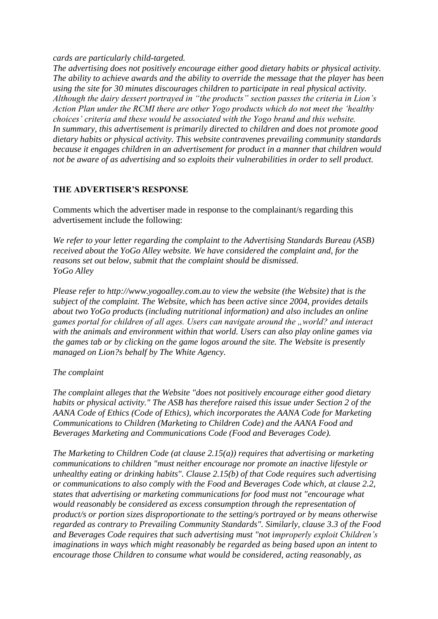*cards are particularly child-targeted.*

*The advertising does not positively encourage either good dietary habits or physical activity. The ability to achieve awards and the ability to override the message that the player has been using the site for 30 minutes discourages children to participate in real physical activity. Although the dairy dessert portrayed in "the products" section passes the criteria in Lion"s Action Plan under the RCMI there are other Yogo products which do not meet the "healthy choices" criteria and these would be associated with the Yogo brand and this website. In summary, this advertisement is primarily directed to children and does not promote good dietary habits or physical activity. This website contravenes prevailing community standards because it engages children in an advertisement for product in a manner that children would not be aware of as advertising and so exploits their vulnerabilities in order to sell product.*

#### **THE ADVERTISER'S RESPONSE**

Comments which the advertiser made in response to the complainant/s regarding this advertisement include the following:

*We refer to your letter regarding the complaint to the Advertising Standards Bureau (ASB) received about the YoGo Alley website. We have considered the complaint and, for the reasons set out below, submit that the complaint should be dismissed. YoGo Alley* 

*Please refer to http://www.yogoalley.com.au to view the website (the Website) that is the subject of the complaint. The Website, which has been active since 2004, provides details about two YoGo products (including nutritional information) and also includes an online games portal for children of all ages. Users can navigate around the "world? and interact with the animals and environment within that world. Users can also play online games via the games tab or by clicking on the game logos around the site. The Website is presently managed on Lion?s behalf by The White Agency.* 

# *The complaint*

*The complaint alleges that the Website "does not positively encourage either good dietary habits or physical activity." The ASB has therefore raised this issue under Section 2 of the AANA Code of Ethics (Code of Ethics), which incorporates the AANA Code for Marketing Communications to Children (Marketing to Children Code) and the AANA Food and Beverages Marketing and Communications Code (Food and Beverages Code).*

*The Marketing to Children Code (at clause 2.15(a)) requires that advertising or marketing communications to children "must neither encourage nor promote an inactive lifestyle or unhealthy eating or drinking habits". Clause 2.15(b) of that Code requires such advertising or communications to also comply with the Food and Beverages Code which, at clause 2.2, states that advertising or marketing communications for food must not "encourage what would reasonably be considered as excess consumption through the representation of product/s or portion sizes disproportionate to the setting/s portrayed or by means otherwise regarded as contrary to Prevailing Community Standards". Similarly, clause 3.3 of the Food and Beverages Code requires that such advertising must "not improperly exploit Children"s imaginations in ways which might reasonably be regarded as being based upon an intent to encourage those Children to consume what would be considered, acting reasonably, as*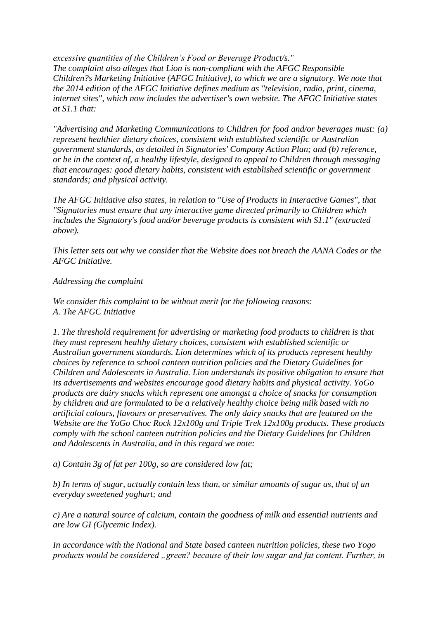*excessive quantities of the Children"s Food or Beverage Product/s." The complaint also alleges that Lion is non-compliant with the AFGC Responsible Children?s Marketing Initiative (AFGC Initiative), to which we are a signatory. We note that the 2014 edition of the AFGC Initiative defines medium as "television, radio, print, cinema, internet sites", which now includes the advertiser's own website. The AFGC Initiative states at S1.1 that:*

*"Advertising and Marketing Communications to Children for food and/or beverages must: (a) represent healthier dietary choices, consistent with established scientific or Australian government standards, as detailed in Signatories' Company Action Plan; and (b) reference, or be in the context of, a healthy lifestyle, designed to appeal to Children through messaging that encourages: good dietary habits, consistent with established scientific or government standards; and physical activity.*

*The AFGC Initiative also states, in relation to "Use of Products in Interactive Games", that "Signatories must ensure that any interactive game directed primarily to Children which includes the Signatory's food and/or beverage products is consistent with S1.1" (extracted above).*

*This letter sets out why we consider that the Website does not breach the AANA Codes or the AFGC Initiative.*

## *Addressing the complaint*

*We consider this complaint to be without merit for the following reasons: A. The AFGC Initiative*

*1. The threshold requirement for advertising or marketing food products to children is that they must represent healthy dietary choices, consistent with established scientific or Australian government standards. Lion determines which of its products represent healthy choices by reference to school canteen nutrition policies and the Dietary Guidelines for Children and Adolescents in Australia. Lion understands its positive obligation to ensure that its advertisements and websites encourage good dietary habits and physical activity. YoGo products are dairy snacks which represent one amongst a choice of snacks for consumption by children and are formulated to be a relatively healthy choice being milk based with no artificial colours, flavours or preservatives. The only dairy snacks that are featured on the Website are the YoGo Choc Rock 12x100g and Triple Trek 12x100g products. These products comply with the school canteen nutrition policies and the Dietary Guidelines for Children and Adolescents in Australia, and in this regard we note:*

*a) Contain 3g of fat per 100g, so are considered low fat;*

*b) In terms of sugar, actually contain less than, or similar amounts of sugar as, that of an everyday sweetened yoghurt; and*

*c) Are a natural source of calcium, contain the goodness of milk and essential nutrients and are low GI (Glycemic Index).*

*In accordance with the National and State based canteen nutrition policies, these two Yogo products would be considered "green? because of their low sugar and fat content. Further, in*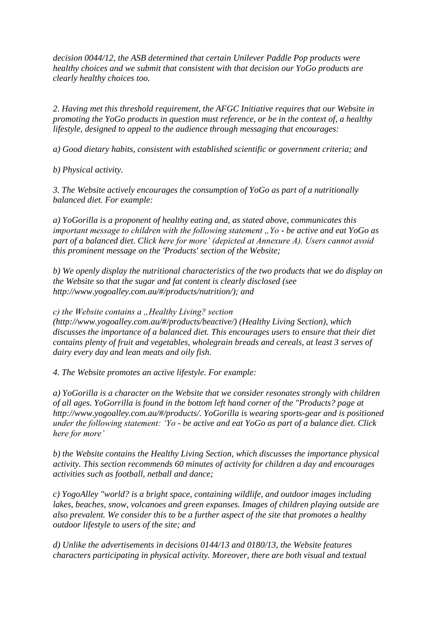*decision 0044/12, the ASB determined that certain Unilever Paddle Pop products were healthy choices and we submit that consistent with that decision our YoGo products are clearly healthy choices too.*

*2. Having met this threshold requirement, the AFGC Initiative requires that our Website in promoting the YoGo products in question must reference, or be in the context of, a healthy lifestyle, designed to appeal to the audience through messaging that encourages:*

*a) Good dietary habits, consistent with established scientific or government criteria; and*

*b) Physical activity.*

*3. The Website actively encourages the consumption of YoGo as part of a nutritionally balanced diet. For example:*

*a) YoGorilla is a proponent of healthy eating and, as stated above, communicates this important message to children with the following statement "Yo - be active and eat YoGo as part of a balanced diet. Click here for more" (depicted at Annexure A). Users cannot avoid this prominent message on the 'Products' section of the Website;*

*b) We openly display the nutritional characteristics of the two products that we do display on the Website so that the sugar and fat content is clearly disclosed (see http://www.yogoalley.com.au/#/products/nutrition/); and*

*c)* the Website contains a "Healthy Living? section

*(http://www.yogoalley.com.au/#/products/beactive/) (Healthy Living Section), which discusses the importance of a balanced diet. This encourages users to ensure that their diet contains plenty of fruit and vegetables, wholegrain breads and cereals, at least 3 serves of dairy every day and lean meats and oily fish.*

*4. The Website promotes an active lifestyle. For example:*

*a) YoGorilla is a character on the Website that we consider resonates strongly with children of all ages. YoGorrilla is found in the bottom left hand corner of the "Products? page at http://www.yogoalley.com.au/#/products/. YoGorilla is wearing sports-gear and is positioned under the following statement: "Yo - be active and eat YoGo as part of a balance diet. Click here for more"*

*b) the Website contains the Healthy Living Section, which discusses the importance physical activity. This section recommends 60 minutes of activity for children a day and encourages activities such as football, netball and dance;*

*c) YogoAlley "world? is a bright space, containing wildlife, and outdoor images including lakes, beaches, snow, volcanoes and green expanses. Images of children playing outside are also prevalent. We consider this to be a further aspect of the site that promotes a healthy outdoor lifestyle to users of the site; and*

*d) Unlike the advertisements in decisions 0144/13 and 0180/13, the Website features characters participating in physical activity. Moreover, there are both visual and textual*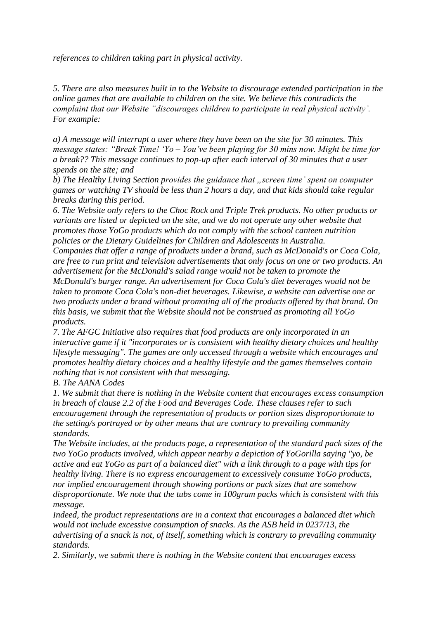*references to children taking part in physical activity.*

*5. There are also measures built in to the Website to discourage extended participation in the online games that are available to children on the site. We believe this contradicts the complaint that our Website "discourages children to participate in real physical activity". For example:* 

*a) A message will interrupt a user where they have been on the site for 30 minutes. This message states: "Break Time! "Yo – You"ve been playing for 30 mins now. Might be time for a break?? This message continues to pop-up after each interval of 30 minutes that a user spends on the site; and*

*b)* The Healthy Living Section provides the guidance that "screen time' spent on computer *games or watching TV should be less than 2 hours a day, and that kids should take regular breaks during this period.*

*6. The Website only refers to the Choc Rock and Triple Trek products. No other products or variants are listed or depicted on the site, and we do not operate any other website that promotes those YoGo products which do not comply with the school canteen nutrition policies or the Dietary Guidelines for Children and Adolescents in Australia.*

*Companies that offer a range of products under a brand, such as McDonald's or Coca Cola, are free to run print and television advertisements that only focus on one or two products. An advertisement for the McDonald's salad range would not be taken to promote the McDonald's burger range. An advertisement for Coca Cola's diet beverages would not be taken to promote Coca Cola's non-diet beverages. Likewise, a website can advertise one or two products under a brand without promoting all of the products offered by that brand. On this basis, we submit that the Website should not be construed as promoting all YoGo products.*

*7. The AFGC Initiative also requires that food products are only incorporated in an interactive game if it "incorporates or is consistent with healthy dietary choices and healthy lifestyle messaging". The games are only accessed through a website which encourages and promotes healthy dietary choices and a healthy lifestyle and the games themselves contain nothing that is not consistent with that messaging.*

*B. The AANA Codes*

*1. We submit that there is nothing in the Website content that encourages excess consumption in breach of clause 2.2 of the Food and Beverages Code. These clauses refer to such encouragement through the representation of products or portion sizes disproportionate to the setting/s portrayed or by other means that are contrary to prevailing community standards.*

*The Website includes, at the products page, a representation of the standard pack sizes of the two YoGo products involved, which appear nearby a depiction of YoGorilla saying "yo, be active and eat YoGo as part of a balanced diet" with a link through to a page with tips for healthy living. There is no express encouragement to excessively consume YoGo products, nor implied encouragement through showing portions or pack sizes that are somehow disproportionate. We note that the tubs come in 100gram packs which is consistent with this message.*

*Indeed, the product representations are in a context that encourages a balanced diet which would not include excessive consumption of snacks. As the ASB held in 0237/13, the advertising of a snack is not, of itself, something which is contrary to prevailing community standards.*

*2. Similarly, we submit there is nothing in the Website content that encourages excess*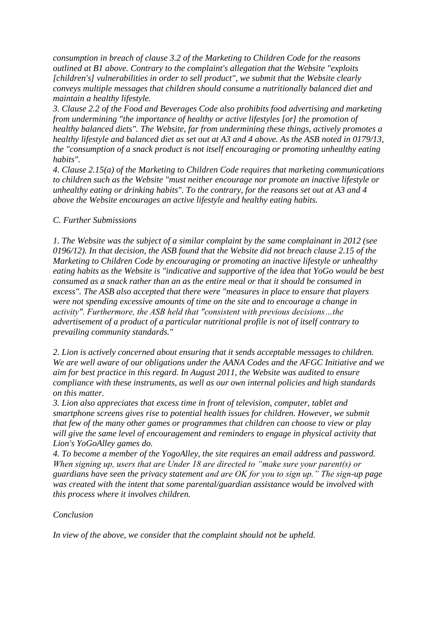*consumption in breach of clause 3.2 of the Marketing to Children Code for the reasons outlined at B1 above. Contrary to the complaint's allegation that the Website "exploits [children's] vulnerabilities in order to sell product", we submit that the Website clearly conveys multiple messages that children should consume a nutritionally balanced diet and maintain a healthy lifestyle.*

*3. Clause 2.2 of the Food and Beverages Code also prohibits food advertising and marketing from undermining "the importance of healthy or active lifestyles [or] the promotion of healthy balanced diets". The Website, far from undermining these things, actively promotes a healthy lifestyle and balanced diet as set out at A3 and 4 above. As the ASB noted in 0179/13, the "consumption of a snack product is not itself encouraging or promoting unhealthy eating habits".*

*4. Clause 2.15(a) of the Marketing to Children Code requires that marketing communications to children such as the Website "must neither encourage nor promote an inactive lifestyle or unhealthy eating or drinking habits". To the contrary, for the reasons set out at A3 and 4 above the Website encourages an active lifestyle and healthy eating habits.* 

## *C. Further Submissions*

*1. The Website was the subject of a similar complaint by the same complainant in 2012 (see 0196/12). In that decision, the ASB found that the Website did not breach clause 2.15 of the Marketing to Children Code by encouraging or promoting an inactive lifestyle or unhealthy eating habits as the Website is "indicative and supportive of the idea that YoGo would be best consumed as a snack rather than an as the entire meal or that it should be consumed in excess". The ASB also accepted that there were "measures in place to ensure that players were not spending excessive amounts of time on the site and to encourage a change in activity". Furthermore, the ASB held that "consistent with previous decisions…the advertisement of a product of a particular nutritional profile is not of itself contrary to prevailing community standards."* 

*2. Lion is actively concerned about ensuring that it sends acceptable messages to children. We are well aware of our obligations under the AANA Codes and the AFGC Initiative and we aim for best practice in this regard. In August 2011, the Website was audited to ensure compliance with these instruments, as well as our own internal policies and high standards on this matter.*

*3. Lion also appreciates that excess time in front of television, computer, tablet and smartphone screens gives rise to potential health issues for children. However, we submit that few of the many other games or programmes that children can choose to view or play will give the same level of encouragement and reminders to engage in physical activity that Lion's YoGoAlley games do.*

*4. To become a member of the YogoAlley, the site requires an email address and password. When signing up, users that are Under 18 are directed to "make sure your parent(s) or guardians have seen the privacy statement and are OK for you to sign up." The sign-up page was created with the intent that some parental/guardian assistance would be involved with this process where it involves children.* 

#### *Conclusion*

*In view of the above, we consider that the complaint should not be upheld.*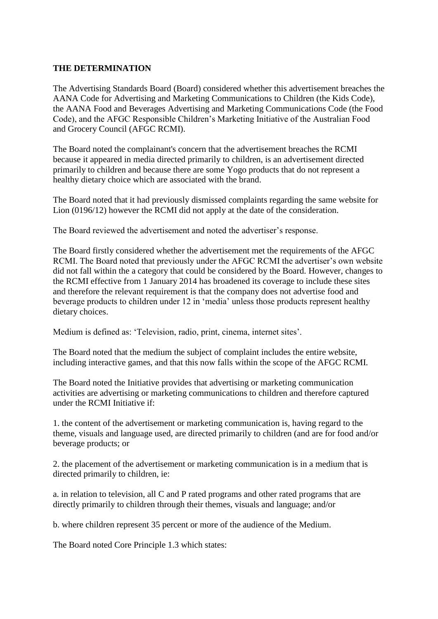#### **THE DETERMINATION**

The Advertising Standards Board (Board) considered whether this advertisement breaches the AANA Code for Advertising and Marketing Communications to Children (the Kids Code), the AANA Food and Beverages Advertising and Marketing Communications Code (the Food Code), and the AFGC Responsible Children"s Marketing Initiative of the Australian Food and Grocery Council (AFGC RCMI).

The Board noted the complainant's concern that the advertisement breaches the RCMI because it appeared in media directed primarily to children, is an advertisement directed primarily to children and because there are some Yogo products that do not represent a healthy dietary choice which are associated with the brand.

The Board noted that it had previously dismissed complaints regarding the same website for Lion (0196/12) however the RCMI did not apply at the date of the consideration.

The Board reviewed the advertisement and noted the advertiser"s response.

The Board firstly considered whether the advertisement met the requirements of the AFGC RCMI. The Board noted that previously under the AFGC RCMI the advertiser's own website did not fall within the a category that could be considered by the Board. However, changes to the RCMI effective from 1 January 2014 has broadened its coverage to include these sites and therefore the relevant requirement is that the company does not advertise food and beverage products to children under 12 in "media" unless those products represent healthy dietary choices.

Medium is defined as: 'Television, radio, print, cinema, internet sites'.

The Board noted that the medium the subject of complaint includes the entire website, including interactive games, and that this now falls within the scope of the AFGC RCMI.

The Board noted the Initiative provides that advertising or marketing communication activities are advertising or marketing communications to children and therefore captured under the RCMI Initiative if:

1. the content of the advertisement or marketing communication is, having regard to the theme, visuals and language used, are directed primarily to children (and are for food and/or beverage products; or

2. the placement of the advertisement or marketing communication is in a medium that is directed primarily to children, ie:

a. in relation to television, all C and P rated programs and other rated programs that are directly primarily to children through their themes, visuals and language; and/or

b. where children represent 35 percent or more of the audience of the Medium.

The Board noted Core Principle 1.3 which states: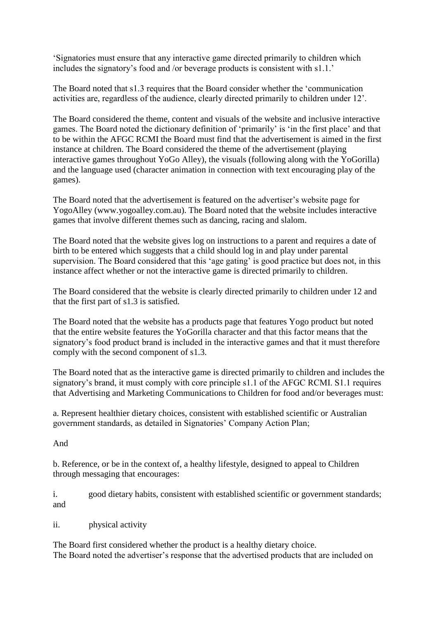"Signatories must ensure that any interactive game directed primarily to children which includes the signatory's food and /or beverage products is consistent with s1.1."

The Board noted that s1.3 requires that the Board consider whether the "communication activities are, regardless of the audience, clearly directed primarily to children under 12".

The Board considered the theme, content and visuals of the website and inclusive interactive games. The Board noted the dictionary definition of "primarily" is "in the first place" and that to be within the AFGC RCMI the Board must find that the advertisement is aimed in the first instance at children. The Board considered the theme of the advertisement (playing interactive games throughout YoGo Alley), the visuals (following along with the YoGorilla) and the language used (character animation in connection with text encouraging play of the games).

The Board noted that the advertisement is featured on the advertiser"s website page for YogoAlley (www.yogoalley.com.au). The Board noted that the website includes interactive games that involve different themes such as dancing, racing and slalom.

The Board noted that the website gives log on instructions to a parent and requires a date of birth to be entered which suggests that a child should log in and play under parental supervision. The Board considered that this 'age gating' is good practice but does not, in this instance affect whether or not the interactive game is directed primarily to children.

The Board considered that the website is clearly directed primarily to children under 12 and that the first part of s1.3 is satisfied.

The Board noted that the website has a products page that features Yogo product but noted that the entire website features the YoGorilla character and that this factor means that the signatory"s food product brand is included in the interactive games and that it must therefore comply with the second component of s1.3.

The Board noted that as the interactive game is directed primarily to children and includes the signatory"s brand, it must comply with core principle s1.1 of the AFGC RCMI. S1.1 requires that Advertising and Marketing Communications to Children for food and/or beverages must:

a. Represent healthier dietary choices, consistent with established scientific or Australian government standards, as detailed in Signatories" Company Action Plan;

# And

b. Reference, or be in the context of, a healthy lifestyle, designed to appeal to Children through messaging that encourages:

i. good dietary habits, consistent with established scientific or government standards; and

ii. physical activity

The Board first considered whether the product is a healthy dietary choice. The Board noted the advertiser's response that the advertised products that are included on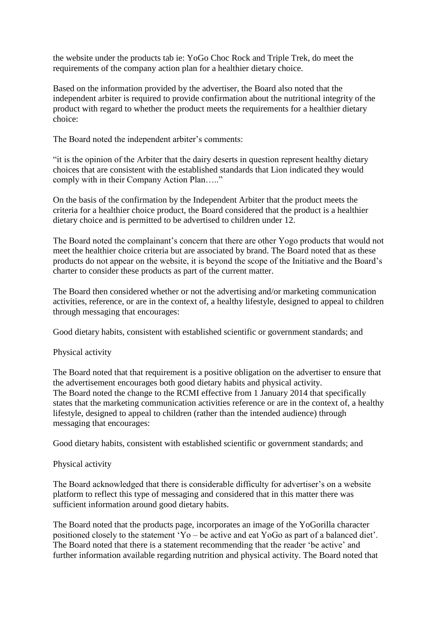the website under the products tab ie: YoGo Choc Rock and Triple Trek, do meet the requirements of the company action plan for a healthier dietary choice.

Based on the information provided by the advertiser, the Board also noted that the independent arbiter is required to provide confirmation about the nutritional integrity of the product with regard to whether the product meets the requirements for a healthier dietary choice:

The Board noted the independent arbiter's comments:

"it is the opinion of the Arbiter that the dairy deserts in question represent healthy dietary choices that are consistent with the established standards that Lion indicated they would comply with in their Company Action Plan….."

On the basis of the confirmation by the Independent Arbiter that the product meets the criteria for a healthier choice product, the Board considered that the product is a healthier dietary choice and is permitted to be advertised to children under 12.

The Board noted the complainant"s concern that there are other Yogo products that would not meet the healthier choice criteria but are associated by brand. The Board noted that as these products do not appear on the website, it is beyond the scope of the Initiative and the Board"s charter to consider these products as part of the current matter.

The Board then considered whether or not the advertising and/or marketing communication activities, reference, or are in the context of, a healthy lifestyle, designed to appeal to children through messaging that encourages:

Good dietary habits, consistent with established scientific or government standards; and

# Physical activity

The Board noted that that requirement is a positive obligation on the advertiser to ensure that the advertisement encourages both good dietary habits and physical activity. The Board noted the change to the RCMI effective from 1 January 2014 that specifically states that the marketing communication activities reference or are in the context of, a healthy lifestyle, designed to appeal to children (rather than the intended audience) through messaging that encourages:

Good dietary habits, consistent with established scientific or government standards; and

# Physical activity

The Board acknowledged that there is considerable difficulty for advertiser"s on a website platform to reflect this type of messaging and considered that in this matter there was sufficient information around good dietary habits.

The Board noted that the products page, incorporates an image of the YoGorilla character positioned closely to the statement "Yo – be active and eat YoGo as part of a balanced diet". The Board noted that there is a statement recommending that the reader "be active" and further information available regarding nutrition and physical activity. The Board noted that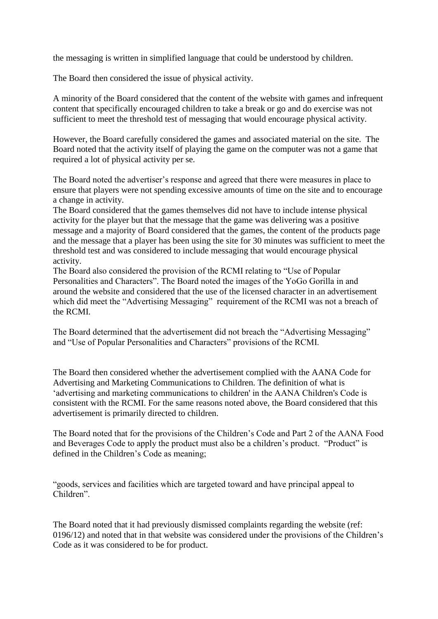the messaging is written in simplified language that could be understood by children.

The Board then considered the issue of physical activity.

A minority of the Board considered that the content of the website with games and infrequent content that specifically encouraged children to take a break or go and do exercise was not sufficient to meet the threshold test of messaging that would encourage physical activity.

However, the Board carefully considered the games and associated material on the site. The Board noted that the activity itself of playing the game on the computer was not a game that required a lot of physical activity per se.

The Board noted the advertiser"s response and agreed that there were measures in place to ensure that players were not spending excessive amounts of time on the site and to encourage a change in activity.

The Board considered that the games themselves did not have to include intense physical activity for the player but that the message that the game was delivering was a positive message and a majority of Board considered that the games, the content of the products page and the message that a player has been using the site for 30 minutes was sufficient to meet the threshold test and was considered to include messaging that would encourage physical activity.

The Board also considered the provision of the RCMI relating to "Use of Popular Personalities and Characters". The Board noted the images of the YoGo Gorilla in and around the website and considered that the use of the licensed character in an advertisement which did meet the "Advertising Messaging" requirement of the RCMI was not a breach of the RCMI.

The Board determined that the advertisement did not breach the "Advertising Messaging" and "Use of Popular Personalities and Characters" provisions of the RCMI.

The Board then considered whether the advertisement complied with the AANA Code for Advertising and Marketing Communications to Children. The definition of what is "advertising and marketing communications to children' in the AANA Children's Code is consistent with the RCMI. For the same reasons noted above, the Board considered that this advertisement is primarily directed to children.

The Board noted that for the provisions of the Children"s Code and Part 2 of the AANA Food and Beverages Code to apply the product must also be a children"s product. "Product" is defined in the Children"s Code as meaning;

"goods, services and facilities which are targeted toward and have principal appeal to Children".

The Board noted that it had previously dismissed complaints regarding the website (ref: 0196/12) and noted that in that website was considered under the provisions of the Children"s Code as it was considered to be for product.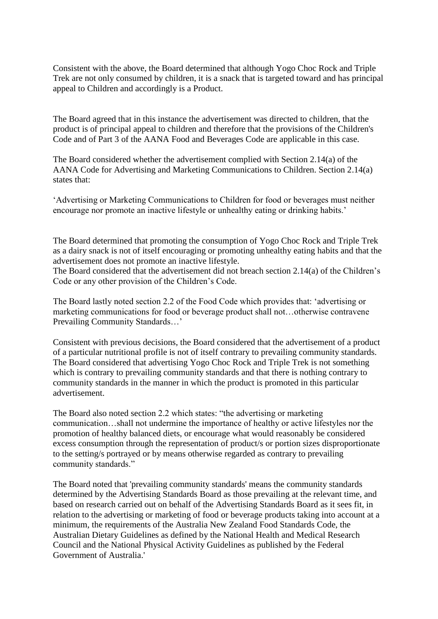Consistent with the above, the Board determined that although Yogo Choc Rock and Triple Trek are not only consumed by children, it is a snack that is targeted toward and has principal appeal to Children and accordingly is a Product.

The Board agreed that in this instance the advertisement was directed to children, that the product is of principal appeal to children and therefore that the provisions of the Children's Code and of Part 3 of the AANA Food and Beverages Code are applicable in this case.

The Board considered whether the advertisement complied with Section 2.14(a) of the AANA Code for Advertising and Marketing Communications to Children. Section 2.14(a) states that:

"Advertising or Marketing Communications to Children for food or beverages must neither encourage nor promote an inactive lifestyle or unhealthy eating or drinking habits.'

The Board determined that promoting the consumption of Yogo Choc Rock and Triple Trek as a dairy snack is not of itself encouraging or promoting unhealthy eating habits and that the advertisement does not promote an inactive lifestyle.

The Board considered that the advertisement did not breach section 2.14(a) of the Children"s Code or any other provision of the Children"s Code.

The Board lastly noted section 2.2 of the Food Code which provides that: "advertising or marketing communications for food or beverage product shall not…otherwise contravene Prevailing Community Standards...'

Consistent with previous decisions, the Board considered that the advertisement of a product of a particular nutritional profile is not of itself contrary to prevailing community standards. The Board considered that advertising Yogo Choc Rock and Triple Trek is not something which is contrary to prevailing community standards and that there is nothing contrary to community standards in the manner in which the product is promoted in this particular advertisement.

The Board also noted section 2.2 which states: "the advertising or marketing communication…shall not undermine the importance of healthy or active lifestyles nor the promotion of healthy balanced diets, or encourage what would reasonably be considered excess consumption through the representation of product/s or portion sizes disproportionate to the setting/s portrayed or by means otherwise regarded as contrary to prevailing community standards."

The Board noted that 'prevailing community standards' means the community standards determined by the Advertising Standards Board as those prevailing at the relevant time, and based on research carried out on behalf of the Advertising Standards Board as it sees fit, in relation to the advertising or marketing of food or beverage products taking into account at a minimum, the requirements of the Australia New Zealand Food Standards Code, the Australian Dietary Guidelines as defined by the National Health and Medical Research Council and the National Physical Activity Guidelines as published by the Federal Government of Australia.'